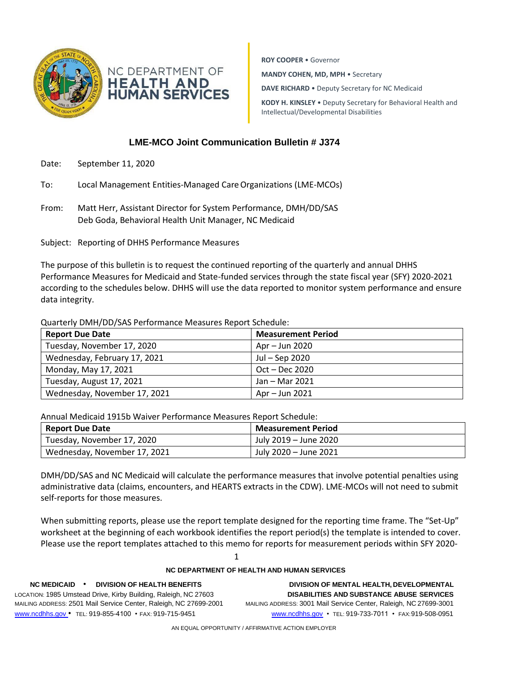

NC DEPARTMENT OF **HEALTH AND<br>HUMAN SERVICES**  **ROY COOPER** • Governor **MANDY COHEN, MD, MPH** • Secretary **DAVE RICHARD** • Deputy Secretary for NC Medicaid **KODY H. KINSLEY** • Deputy Secretary for Behavioral Health and Intellectual/Developmental Disabilities

## **LME-MCO Joint Communication Bulletin # J374**

- Date: September 11, 2020
- To: Local Management Entities-Managed CareOrganizations (LME-MCOs)
- From: Matt Herr, Assistant Director for System Performance, DMH/DD/SAS Deb Goda, Behavioral Health Unit Manager, NC Medicaid

Subject: Reporting of DHHS Performance Measures

The purpose of this bulletin is to request the continued reporting of the quarterly and annual DHHS Performance Measures for Medicaid and State-funded services through the state fiscal year (SFY) 2020-2021 according to the schedules below. DHHS will use the data reported to monitor system performance and ensure data integrity.

Quarterly DMH/DD/SAS Performance Measures Report Schedule:

| <b>Report Due Date</b>       | <b>Measurement Period</b> |
|------------------------------|---------------------------|
| Tuesday, November 17, 2020   | Apr – Jun 2020            |
| Wednesday, February 17, 2021 | Jul – Sep 2020            |
| Monday, May 17, 2021         | $Oct - Dec 2020$          |
| Tuesday, August 17, 2021     | Jan – Mar 2021            |
| Wednesday, November 17, 2021 | Apr – Jun 2021            |

Annual Medicaid 1915b Waiver Performance Measures Report Schedule:

| <b>Report Due Date</b>       | <b>Measurement Period</b> |
|------------------------------|---------------------------|
| Tuesday, November 17, 2020   | July 2019 – June 2020     |
| Wednesday, November 17, 2021 | July 2020 – June 2021     |

DMH/DD/SAS and NC Medicaid will calculate the performance measures that involve potential penalties using administrative data (claims, encounters, and HEARTS extracts in the CDW). LME-MCOs will not need to submit self-reports for those measures.

When submitting reports, please use the report template designed for the reporting time frame. The "Set-Up" worksheet at the beginning of each workbook identifies the report period(s) the template is intended to cover. Please use the report templates attached to this memo for reports for measurement periods within SFY 2020-

1

## **NC DEPARTMENT OF HEALTH AND HUMAN SERVICES**

LOCATION: 1985 Umstead Drive, Kirby Building, Raleigh, NC 27603 **DISABILITIES AND SUBSTANCE ABUSE SERVICES** MAILING ADDRESS: 2501 Mail Service Center, Raleigh, NC 27699-2001 MAILING ADDRESS: 3001 Mail Service Center, Raleigh, NC 27699-3001 [www.ncdhhs.gov](http://www.ncdhhs.gov/) • TEL: 919-855-4100 • FAX: 919-715-9451 [www.ncdhhs.gov](http://www.ncdhhs.gov/) • TEL: 919-733-7011 • FAX:919-508-0951

**NC MEDICAID** • **DIVISION OF HEALTH BENEFITS DIVISION OF MENTAL HEALTH, DEVELOPMENTAL**